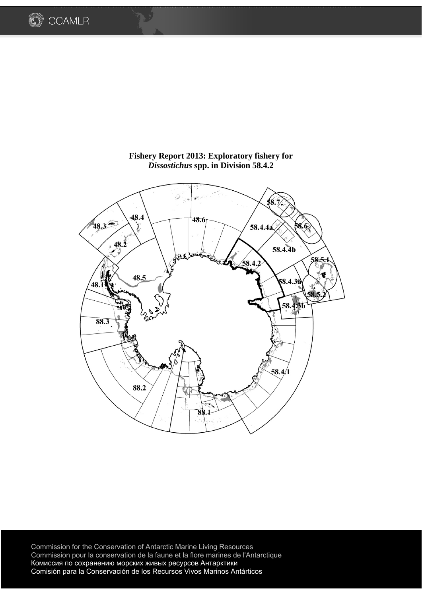

**Fishery Report 2013: Exploratory fishery for**  *Dissostichus* **spp. in Division 58.4.2** 

**COAMLR** 

Commission for the Conservation of Antarctic Marine Living Resources Commission pour la conservation de la faune et la flore marines de l'Antarctique Комиссия по сохранению морских живых ресурсов Антарктики Comisión para la Conservación de los Recursos Vivos Marinos Antárticos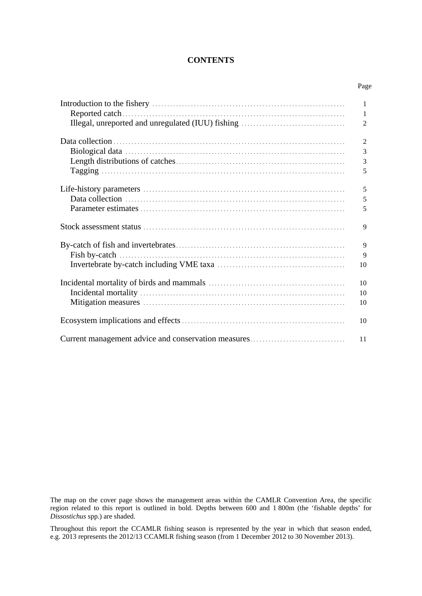## **CONTENTS**

Page

|                                                     | 1              |
|-----------------------------------------------------|----------------|
|                                                     | 1              |
|                                                     | 2              |
|                                                     |                |
|                                                     | $\mathfrak{2}$ |
|                                                     | 3              |
|                                                     | 3              |
|                                                     | 5              |
|                                                     |                |
|                                                     | 5              |
|                                                     | 5              |
|                                                     | 5              |
|                                                     | 9              |
|                                                     | 9              |
|                                                     | 9              |
|                                                     | 10             |
|                                                     |                |
|                                                     | 10             |
|                                                     | 10             |
|                                                     | 10             |
|                                                     |                |
|                                                     | 10             |
| Current management advice and conservation measures | 11             |

The map on the cover page shows the management areas within the CAMLR Convention Area, the specific region related to this report is outlined in bold. Depths between 600 and 1 800m (the 'fishable depths' for *Dissostichus* spp.) are shaded.

Throughout this report the CCAMLR fishing season is represented by the year in which that season ended, e.g. 2013 represents the 2012/13 CCAMLR fishing season (from 1 December 2012 to 30 November 2013).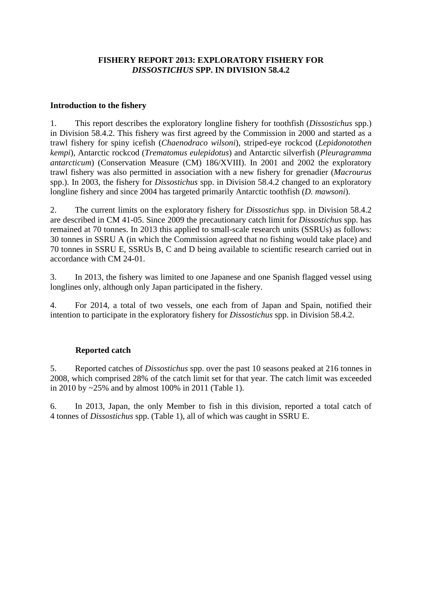# **FISHERY REPORT 2013: EXPLORATORY FISHERY FOR**  *DISSOSTICHUS* **SPP. IN DIVISION 58.4.2**

## **Introduction to the fishery**

1. This report describes the exploratory longline fishery for toothfish (*Dissostichus* spp.) in Division 58.4.2. This fishery was first agreed by the Commission in 2000 and started as a trawl fishery for spiny icefish (*Chaenodraco wilsoni*), striped-eye rockcod (*Lepidonotothen kempi*), Antarctic rockcod (*Trematomus eulepidotus*) and Antarctic silverfish (*Pleuragramma antarcticum*) (Conservation Measure (CM) 186/XVIII). In 2001 and 2002 the exploratory trawl fishery was also permitted in association with a new fishery for grenadier (*Macrourus* spp.). In 2003, the fishery for *Dissostichus* spp. in Division 58.4.2 changed to an exploratory longline fishery and since 2004 has targeted primarily Antarctic toothfish (*D. mawsoni*).

2. The current limits on the exploratory fishery for *Dissostichus* spp. in Division 58.4.2 are described in CM 41-05. Since 2009 the precautionary catch limit for *Dissostichus* spp. has remained at 70 tonnes. In 2013 this applied to small-scale research units (SSRUs) as follows: 30 tonnes in SSRU A (in which the Commission agreed that no fishing would take place) and 70 tonnes in SSRU E, SSRUs B, C and D being available to scientific research carried out in accordance with CM 24-01.

3. In 2013, the fishery was limited to one Japanese and one Spanish flagged vessel using longlines only, although only Japan participated in the fishery.

4. For 2014, a total of two vessels, one each from of Japan and Spain, notified their intention to participate in the exploratory fishery for *Dissostichus* spp. in Division 58.4.2.

# **Reported catch**

5. Reported catches of *Dissostichus* spp. over the past 10 seasons peaked at 216 tonnes in 2008, which comprised 28% of the catch limit set for that year. The catch limit was exceeded in 2010 by ~25% and by almost 100% in 2011 (Table 1).

6. In 2013, Japan, the only Member to fish in this division, reported a total catch of 4 tonnes of *Dissostichus* spp. (Table 1), all of which was caught in SSRU E.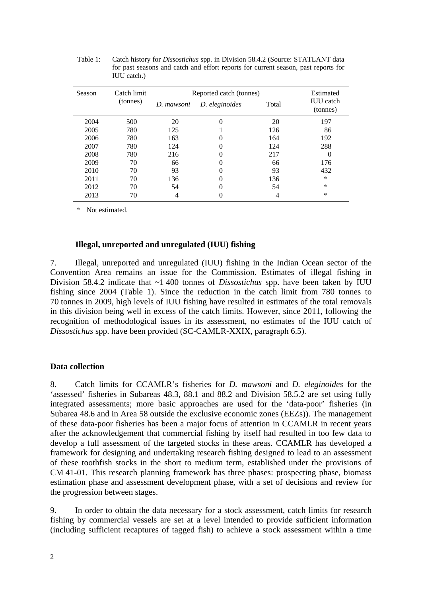| Season | Catch limit | Reported catch (tonnes) | Estimated         |       |                              |
|--------|-------------|-------------------------|-------------------|-------|------------------------------|
|        | (tonnes)    | D. mawsoni              | D. eleginoides    | Total | <b>IUU</b> catch<br>(tonnes) |
| 2004   | 500         | 20                      | $\mathbf{\Omega}$ | 20    | 197                          |
| 2005   | 780         | 125                     |                   | 126   | 86                           |
| 2006   | 780         | 163                     |                   | 164   | 192                          |
| 2007   | 780         | 124                     | $_{0}$            | 124   | 288                          |
| 2008   | 780         | 216                     | 0                 | 217   |                              |
| 2009   | 70          | 66                      |                   | 66    | 176                          |
| 2010   | 70          | 93                      | 0                 | 93    | 432                          |
| 2011   | 70          | 136                     | 0                 | 136   | $\ast$                       |
| 2012   | 70          | 54                      | 0                 | 54    | ∗                            |
| 2013   | 70          | 4                       | 0                 | 4     | ∗                            |

Table 1: Catch history for *Dissostichus* spp. in Division 58.4.2 (Source: STATLANT data for past seasons and catch and effort reports for current season, past reports for IUU catch.)

\* Not estimated.

#### **Illegal, unreported and unregulated (IUU) fishing**

7. Illegal, unreported and unregulated (IUU) fishing in the Indian Ocean sector of the Convention Area remains an issue for the Commission. Estimates of illegal fishing in Division 58.4.2 indicate that ~1 400 tonnes of *Dissostichus* spp. have been taken by IUU fishing since 2004 (Table 1). Since the reduction in the catch limit from 780 tonnes to 70 tonnes in 2009, high levels of IUU fishing have resulted in estimates of the total removals in this division being well in excess of the catch limits. However, since 2011, following the recognition of methodological issues in its assessment, no estimates of the IUU catch of *Dissostichus* spp. have been provided (SC-CAMLR-XXIX, paragraph 6.5).

#### **Data collection**

8. Catch limits for CCAMLR's fisheries for *D. mawsoni* and *D. eleginoides* for the 'assessed' fisheries in Subareas 48.3, 88.1 and 88.2 and Division 58.5.2 are set using fully integrated assessments; more basic approaches are used for the 'data-poor' fisheries (in Subarea 48.6 and in Area 58 outside the exclusive economic zones (EEZs)). The management of these data-poor fisheries has been a major focus of attention in CCAMLR in recent years after the acknowledgement that commercial fishing by itself had resulted in too few data to develop a full assessment of the targeted stocks in these areas. CCAMLR has developed a framework for designing and undertaking research fishing designed to lead to an assessment of these toothfish stocks in the short to medium term, established under the provisions of CM 41-01. This research planning framework has three phases: prospecting phase, biomass estimation phase and assessment development phase, with a set of decisions and review for the progression between stages.

9. In order to obtain the data necessary for a stock assessment, catch limits for research fishing by commercial vessels are set at a level intended to provide sufficient information (including sufficient recaptures of tagged fish) to achieve a stock assessment within a time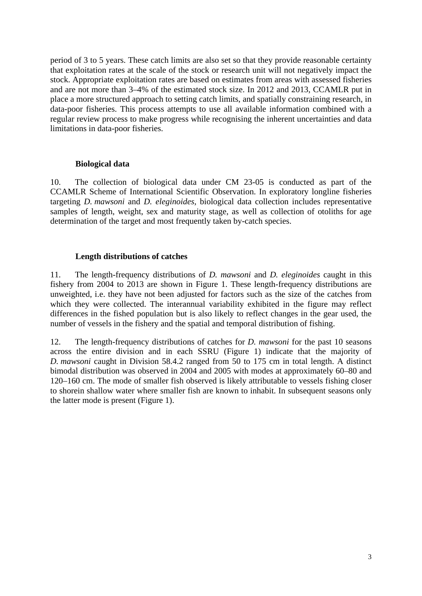period of 3 to 5 years. These catch limits are also set so that they provide reasonable certainty that exploitation rates at the scale of the stock or research unit will not negatively impact the stock. Appropriate exploitation rates are based on estimates from areas with assessed fisheries and are not more than 3–4% of the estimated stock size. In 2012 and 2013, CCAMLR put in place a more structured approach to setting catch limits, and spatially constraining research, in data-poor fisheries. This process attempts to use all available information combined with a regular review process to make progress while recognising the inherent uncertainties and data limitations in data-poor fisheries.

## **Biological data**

10. The collection of biological data under CM 23-05 is conducted as part of the CCAMLR Scheme of International Scientific Observation. In exploratory longline fisheries targeting *D. mawsoni* and *D. eleginoides*, biological data collection includes representative samples of length, weight, sex and maturity stage, as well as collection of otoliths for age determination of the target and most frequently taken by-catch species.

# **Length distributions of catches**

11. The length-frequency distributions of *D. mawsoni* and *D. eleginoides* caught in this fishery from 2004 to 2013 are shown in Figure 1. These length-frequency distributions are unweighted, i.e. they have not been adjusted for factors such as the size of the catches from which they were collected. The interannual variability exhibited in the figure may reflect differences in the fished population but is also likely to reflect changes in the gear used, the number of vessels in the fishery and the spatial and temporal distribution of fishing.

12. The length-frequency distributions of catches for *D. mawsoni* for the past 10 seasons across the entire division and in each SSRU (Figure 1) indicate that the majority of *D. mawsoni* caught in Division 58.4.2 ranged from 50 to 175 cm in total length. A distinct bimodal distribution was observed in 2004 and 2005 with modes at approximately 60–80 and 120–160 cm. The mode of smaller fish observed is likely attributable to vessels fishing closer to shorein shallow water where smaller fish are known to inhabit. In subsequent seasons only the latter mode is present (Figure 1).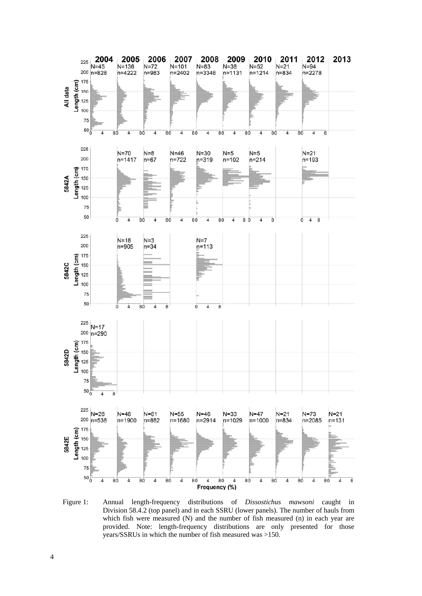

Figure 1: Annual length-frequency distributions of *Dissostichus mawsoni* caught in Division 58.4.2 (top panel) and in each SSRU (lower panels). The number of hauls from which fish were measured (N) and the number of fish measured (n) in each year are provided. Note: length-frequency distributions are only presented for those years/SSRUs in which the number of fish measured was >150.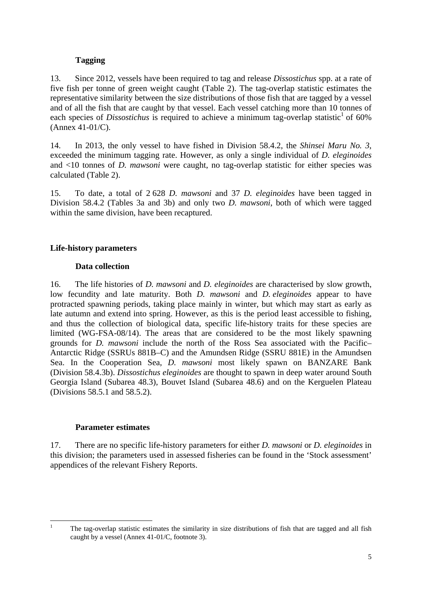# **Tagging**

13. Since 2012, vessels have been required to tag and release *Dissostichus* spp. at a rate of five fish per tonne of green weight caught (Table 2). The tag-overlap statistic estimates the representative similarity between the size distributions of those fish that are tagged by a vessel and of all the fish that are caught by that vessel. Each vessel catching more than 10 tonnes of each species of *Dissostichus* is required to achieve a minimum tag-overlap statistic<sup>1</sup> of 60% (Annex 41-01/C).

14. In 2013, the only vessel to have fished in Division 58.4.2, the *Shinsei Maru No. 3*, exceeded the minimum tagging rate. However, as only a single individual of *D. eleginoides* and <10 tonnes of *D. mawsoni* were caught, no tag-overlap statistic for either species was calculated (Table 2).

15. To date, a total of 2 628 *D. mawsoni* and 37 *D. eleginoides* have been tagged in Division 58.4.2 (Tables 3a and 3b) and only two *D. mawsoni*, both of which were tagged within the same division, have been recaptured.

# **Life-history parameters**

# **Data collection**

16. The life histories of *D. mawsoni* and *D. eleginoides* are characterised by slow growth, low fecundity and late maturity. Both *D. mawsoni* and *D. eleginoides* appear to have protracted spawning periods, taking place mainly in winter, but which may start as early as late autumn and extend into spring. However, as this is the period least accessible to fishing, and thus the collection of biological data, specific life-history traits for these species are limited (WG-FSA-08/14). The areas that are considered to be the most likely spawning grounds for *D. mawsoni* include the north of the Ross Sea associated with the Pacific– Antarctic Ridge (SSRUs 881B–C) and the Amundsen Ridge (SSRU 881E) in the Amundsen Sea. In the Cooperation Sea, *D. mawsoni* most likely spawn on BANZARE Bank (Division 58.4.3b). *Dissostichus eleginoides* are thought to spawn in deep water around South Georgia Island (Subarea 48.3), Bouvet Island (Subarea 48.6) and on the Kerguelen Plateau (Divisions 58.5.1 and 58.5.2).

## **Parameter estimates**

17. There are no specific life-history parameters for either *D. mawsoni* or *D. eleginoides* in this division; the parameters used in assessed fisheries can be found in the 'Stock assessment' appendices of the relevant Fishery Reports.

 $\mathbf{1}$ 1 The tag-overlap statistic estimates the similarity in size distributions of fish that are tagged and all fish caught by a vessel (Annex 41-01/C, footnote 3).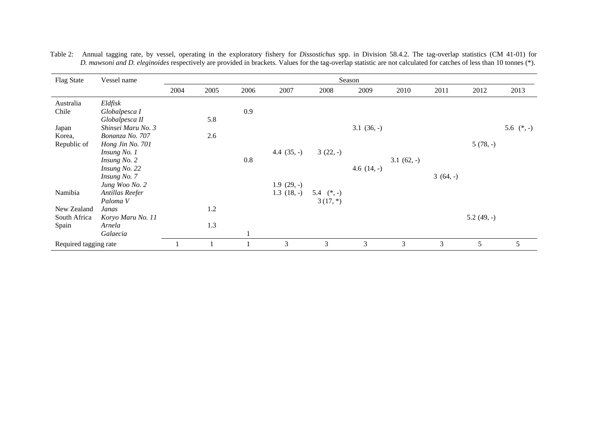| <b>Flag State</b>     | Vessel name        |      | Season |      |               |              |               |             |           |             |              |
|-----------------------|--------------------|------|--------|------|---------------|--------------|---------------|-------------|-----------|-------------|--------------|
|                       |                    | 2004 | 2005   | 2006 | 2007          | 2008         | 2009          | 2010        | 2011      | 2012        | 2013         |
| Australia             | Eldfisk            |      |        |      |               |              |               |             |           |             |              |
| Chile                 | Globalpesca I      |      |        | 0.9  |               |              |               |             |           |             |              |
|                       | Globalpesca II     |      | 5.8    |      |               |              |               |             |           |             |              |
| Japan                 | Shinsei Maru No. 3 |      |        |      |               |              | $3.1(36,-)$   |             |           |             | 5.6 $(*, -)$ |
| Korea,                | Bonanza No. 707    |      | 2.6    |      |               |              |               |             |           |             |              |
| Republic of           | Hong Jin No. 701   |      |        |      |               |              |               |             |           | $5(78,-)$   |              |
|                       | Insung No. 1       |      |        |      | 4.4 $(35, -)$ | $3(22,-)$    |               |             |           |             |              |
|                       | Insung No. 2       |      |        | 0.8  |               |              |               | $3.1(62,-)$ |           |             |              |
|                       | Insung No. 22      |      |        |      |               |              | 4.6 $(14, -)$ |             |           |             |              |
|                       | Insung No. 7       |      |        |      |               |              |               |             | $3(64,-)$ |             |              |
|                       | Jung Woo No. 2     |      |        |      | $1.9(29,-)$   |              |               |             |           |             |              |
| Namibia               | Antillas Reefer    |      |        |      | $1.3(18,-)$   | 5.4 $(*, -)$ |               |             |           |             |              |
|                       | Paloma V           |      |        |      |               | $3(17,*)$    |               |             |           |             |              |
| New Zealand           | Janas              |      | 1.2    |      |               |              |               |             |           |             |              |
| South Africa          | Koryo Maru No. 11  |      |        |      |               |              |               |             |           | $5.2(49,-)$ |              |
| Spain                 | Arnela             |      | 1.3    |      |               |              |               |             |           |             |              |
|                       | Galaecia           |      |        |      |               |              |               |             |           |             |              |
| Required tagging rate |                    |      |        |      | 3             | 3            | 3             | 3           | 3         | 5           | 5            |

Table 2: Annual tagging rate, by vessel, operating in the exploratory fishery for *Dissostichus* spp. in Division 58.4.2. The tag-overlap statistics (CM 41-01) for *D. mawsoni and D. eleginoides* respectively are provided in brackets. Values for the tag-overlap statistic are not calculated for catches of less than 10 tonnes (\*).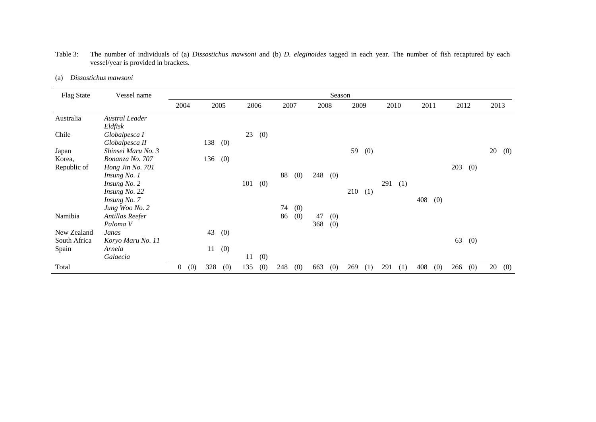| Table 3: | The number of individuals of (a) <i>Dissostichus mawsoni</i> and (b) <i>D. eleginoides</i> tagged in each year. The number of fish recaptured by each |  |
|----------|-------------------------------------------------------------------------------------------------------------------------------------------------------|--|
|          | vessel/year is provided in brackets.                                                                                                                  |  |

|     | Dissostichus mawsoni |  |
|-----|----------------------|--|
| (a) |                      |  |

| <b>Flag State</b> | Vessel name           | Season                |     |      |      |     |      |     |      |     |      |     |      |     |      |     |      |     |      |     |
|-------------------|-----------------------|-----------------------|-----|------|------|-----|------|-----|------|-----|------|-----|------|-----|------|-----|------|-----|------|-----|
|                   |                       | 2004                  |     | 2005 | 2006 |     | 2007 |     | 2008 |     | 2009 |     | 2010 |     | 2011 |     | 2012 |     | 2013 |     |
| Australia         | <b>Austral Leader</b> |                       |     |      |      |     |      |     |      |     |      |     |      |     |      |     |      |     |      |     |
|                   | Eldfisk               |                       |     |      |      |     |      |     |      |     |      |     |      |     |      |     |      |     |      |     |
| Chile             | Globalpesca I         |                       |     |      | 23   | (0) |      |     |      |     |      |     |      |     |      |     |      |     |      |     |
|                   | Globalpesca II        |                       | 138 | (0)  |      |     |      |     |      |     |      |     |      |     |      |     |      |     |      |     |
| Japan             | Shinsei Maru No. 3    |                       |     |      |      |     |      |     |      |     | 59   | (0) |      |     |      |     |      |     | 20   | (0) |
| Korea,            | Bonanza No. 707       |                       | 136 | (0)  |      |     |      |     |      |     |      |     |      |     |      |     |      |     |      |     |
| Republic of       | Hong Jin No. 701      |                       |     |      |      |     |      |     |      |     |      |     |      |     |      |     | 203  | (0) |      |     |
|                   | Insung No. 1          |                       |     |      |      |     | 88   | (0) | 248  | (0) |      |     |      |     |      |     |      |     |      |     |
|                   | Insung No. 2          |                       |     |      | 101  | (0) |      |     |      |     |      |     | 291  | (1) |      |     |      |     |      |     |
|                   | Insung No. 22         |                       |     |      |      |     |      |     |      |     | 210  | (1) |      |     |      |     |      |     |      |     |
|                   | Insung No. 7          |                       |     |      |      |     |      |     |      |     |      |     |      |     | 408  | (0) |      |     |      |     |
|                   | Jung Woo No. 2        |                       |     |      |      |     | 74   | (0) |      |     |      |     |      |     |      |     |      |     |      |     |
| Namibia           | Antillas Reefer       |                       |     |      |      |     | 86   | (0) | 47   | (0) |      |     |      |     |      |     |      |     |      |     |
|                   | Paloma V              |                       |     |      |      |     |      |     | 368  | (0) |      |     |      |     |      |     |      |     |      |     |
| New Zealand       | Janas                 |                       | 43  | (0)  |      |     |      |     |      |     |      |     |      |     |      |     |      |     |      |     |
| South Africa      | Koryo Maru No. 11     |                       |     |      |      |     |      |     |      |     |      |     |      |     |      |     | 63   | (0) |      |     |
| Spain             | Arnela                |                       | 11  | (0)  |      |     |      |     |      |     |      |     |      |     |      |     |      |     |      |     |
|                   | Galaecia              |                       |     |      | 11   | (0) |      |     |      |     |      |     |      |     |      |     |      |     |      |     |
| Total             |                       | (0)<br>$\overline{0}$ | 328 | (0)  | 135  | (0) | 248  | (0) | 663  | (0) | 269  | (1) | 291  | (1) | 408  | (0) | 266  | (0) | 20   | (0) |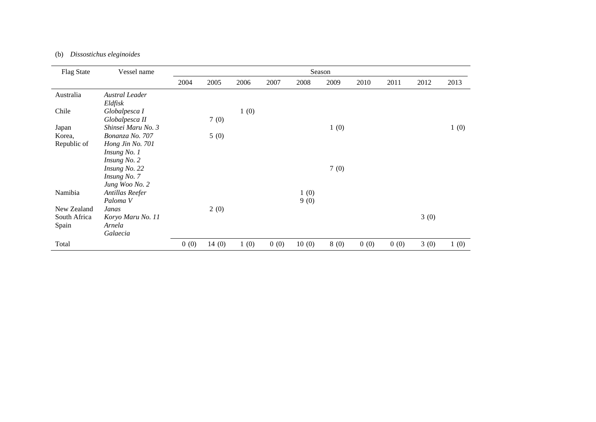## (b) *Dissostichus eleginoides*

| <b>Flag State</b> | Vessel name         |      |       |      |      |       | Season |      |      |      |      |
|-------------------|---------------------|------|-------|------|------|-------|--------|------|------|------|------|
|                   |                     | 2004 | 2005  | 2006 | 2007 | 2008  | 2009   | 2010 | 2011 | 2012 | 2013 |
| Australia         | Austral Leader      |      |       |      |      |       |        |      |      |      |      |
|                   | Eldfisk             |      |       |      |      |       |        |      |      |      |      |
| Chile             | Globalpesca I       |      |       | 1(0) |      |       |        |      |      |      |      |
|                   | Globalpesca II      |      | 7(0)  |      |      |       |        |      |      |      |      |
| Japan             | Shinsei Maru No. 3  |      |       |      |      |       | 1(0)   |      |      |      | 1(0) |
| Korea,            | Bonanza No. 707     |      | 5(0)  |      |      |       |        |      |      |      |      |
| Republic of       | Hong Jin No. 701    |      |       |      |      |       |        |      |      |      |      |
|                   | Insung No. 1        |      |       |      |      |       |        |      |      |      |      |
|                   | Insung No. 2        |      |       |      |      |       |        |      |      |      |      |
|                   | Insung No. 22       |      |       |      |      |       | 7(0)   |      |      |      |      |
|                   | Insung No. 7        |      |       |      |      |       |        |      |      |      |      |
|                   | Jung Woo No. 2      |      |       |      |      |       |        |      |      |      |      |
| Namibia           | Antillas Reefer     |      |       |      |      | 1(0)  |        |      |      |      |      |
|                   | Paloma <sub>V</sub> |      |       |      |      | 9(0)  |        |      |      |      |      |
| New Zealand       | Janas               |      | 2(0)  |      |      |       |        |      |      |      |      |
| South Africa      | Koryo Maru No. 11   |      |       |      |      |       |        |      |      | 3(0) |      |
| Spain             | Arnela              |      |       |      |      |       |        |      |      |      |      |
|                   | Galaecia            |      |       |      |      |       |        |      |      |      |      |
| Total             |                     | 0(0) | 14(0) | 1(0) | 0(0) | 10(0) | 8(0)   | 0(0) | 0(0) | 3(0) | 1(0) |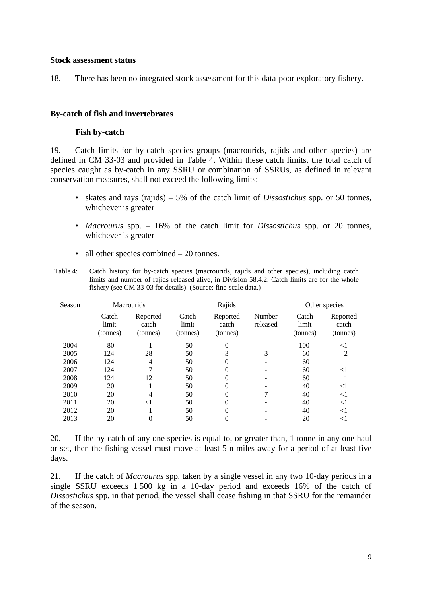#### **Stock assessment status**

18. There has been no integrated stock assessment for this data-poor exploratory fishery.

## **By-catch of fish and invertebrates**

## **Fish by-catch**

19. Catch limits for by-catch species groups (macrourids, rajids and other species) are defined in CM 33-03 and provided in Table 4. Within these catch limits, the total catch of species caught as by-catch in any SSRU or combination of SSRUs, as defined in relevant conservation measures, shall not exceed the following limits:

- skates and rays (rajids) 5% of the catch limit of *Dissostichus* spp. or 50 tonnes, whichever is greater
- *Macrourus* spp. 16% of the catch limit for *Dissostichus* spp. or 20 tonnes, whichever is greater
- all other species combined 20 tonnes.

| Table 4: Catch history for by-catch species (macrourids, rajids and other species), including catch |
|-----------------------------------------------------------------------------------------------------|
| limits and number of rajids released alive, in Division 58.4.2. Catch limits are for the whole      |
| fishery (see CM 33-03 for details). (Source: fine-scale data.)                                      |

| Season |                            | <b>Macrourids</b>             |                            | Rajids                        |                    | Other species              |                               |
|--------|----------------------------|-------------------------------|----------------------------|-------------------------------|--------------------|----------------------------|-------------------------------|
|        | Catch<br>limit<br>(tonnes) | Reported<br>catch<br>(tonnes) | Catch<br>limit<br>(tonnes) | Reported<br>catch<br>(tonnes) | Number<br>released | Catch<br>limit<br>(tonnes) | Reported<br>catch<br>(tonnes) |
| 2004   | 80                         |                               | 50                         | 0                             |                    | 100                        | $<$ 1                         |
| 2005   | 124                        | 28                            | 50                         | 3                             | 3                  | 60                         | $\overline{c}$                |
| 2006   | 124                        | 4                             | 50                         | 0                             |                    | 60                         |                               |
| 2007   | 124                        |                               | 50                         | 0                             |                    | 60                         | $<$ l                         |
| 2008   | 124                        | 12                            | 50                         | 0                             |                    | 60                         |                               |
| 2009   | 20                         |                               | 50                         | 0                             |                    | 40                         | $<$ l                         |
| 2010   | 20                         | 4                             | 50                         | 0                             |                    | 40                         | $<$ 1                         |
| 2011   | 20                         | $<$ 1                         | 50                         | 0                             |                    | 40                         | $<$ 1                         |
| 2012   | 20                         |                               | 50                         | 0                             |                    | 40                         | $<$ 1                         |
| 2013   | 20                         | 0                             | 50                         | 0                             |                    | 20                         | $<$ l                         |

20. If the by-catch of any one species is equal to, or greater than, 1 tonne in any one haul or set, then the fishing vessel must move at least 5 n miles away for a period of at least five days.

21. If the catch of *Macrourus* spp. taken by a single vessel in any two 10-day periods in a single SSRU exceeds 1 500 kg in a 10-day period and exceeds 16% of the catch of *Dissostichus* spp. in that period, the vessel shall cease fishing in that SSRU for the remainder of the season.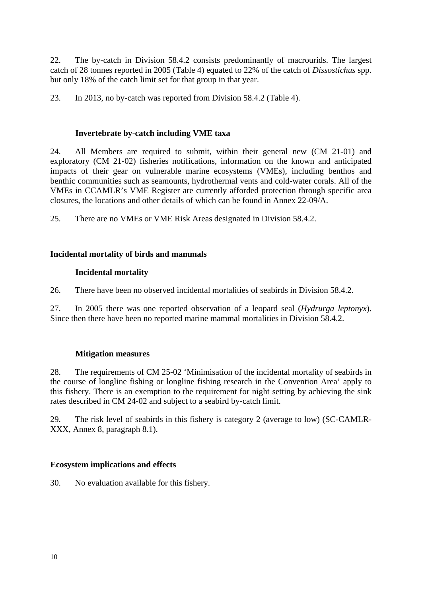22. The by-catch in Division 58.4.2 consists predominantly of macrourids. The largest catch of 28 tonnes reported in 2005 (Table 4) equated to 22% of the catch of *Dissostichus* spp. but only 18% of the catch limit set for that group in that year.

23. In 2013, no by-catch was reported from Division 58.4.2 (Table 4).

## **Invertebrate by-catch including VME taxa**

24. All Members are required to submit, within their general new (CM 21-01) and exploratory (CM 21-02) fisheries notifications, information on the known and anticipated impacts of their gear on vulnerable marine ecosystems (VMEs), including benthos and benthic communities such as seamounts, hydrothermal vents and cold-water corals. All of the VMEs in CCAMLR's VME Register are currently afforded protection through specific area closures, the locations and other details of which can be found in Annex 22-09/A.

25. There are no VMEs or VME Risk Areas designated in Division 58.4.2.

# **Incidental mortality of birds and mammals**

## **Incidental mortality**

26. There have been no observed incidental mortalities of seabirds in Division 58.4.2.

27. In 2005 there was one reported observation of a leopard seal (*Hydrurga leptonyx*). Since then there have been no reported marine mammal mortalities in Division 58.4.2.

## **Mitigation measures**

28. The requirements of CM 25-02 'Minimisation of the incidental mortality of seabirds in the course of longline fishing or longline fishing research in the Convention Area' apply to this fishery. There is an exemption to the requirement for night setting by achieving the sink rates described in CM 24-02 and subject to a seabird by-catch limit.

29. The risk level of seabirds in this fishery is category 2 (average to low) (SC-CAMLR-XXX, Annex 8, paragraph 8.1).

## **Ecosystem implications and effects**

30. No evaluation available for this fishery.